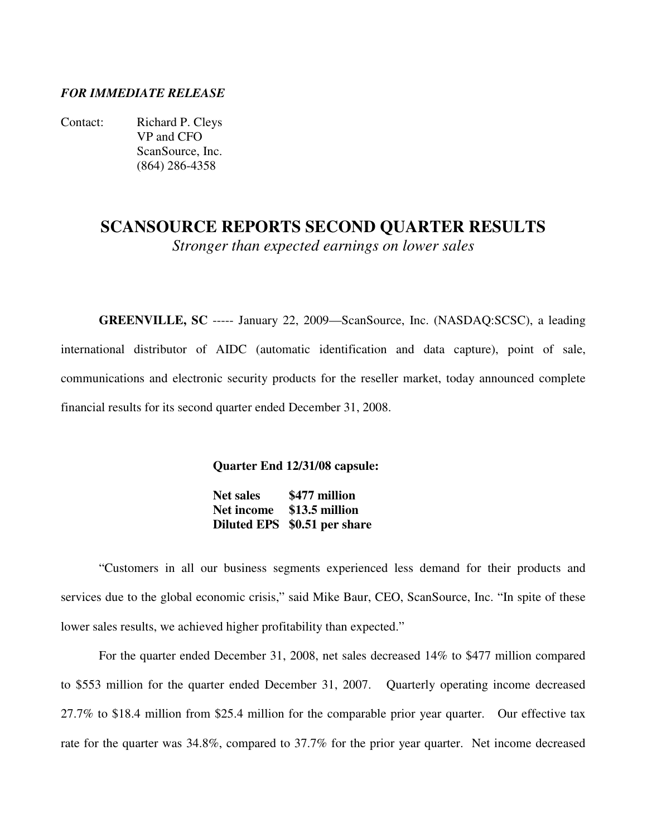### *FOR IMMEDIATE RELEASE*

Contact: Richard P. Cleys VP and CFO ScanSource, Inc. (864) 286-4358

# **SCANSOURCE REPORTS SECOND QUARTER RESULTS**  *Stronger than expected earnings on lower sales*

**GREENVILLE, SC** ----- January 22, 2009—ScanSource, Inc. (NASDAQ:SCSC), a leading international distributor of AIDC (automatic identification and data capture), point of sale, communications and electronic security products for the reseller market, today announced complete financial results for its second quarter ended December 31, 2008.

**Quarter End 12/31/08 capsule:** 

 **Net sales \$477 million Net income \$13.5 million Diluted EPS \$0.51 per share**

"Customers in all our business segments experienced less demand for their products and services due to the global economic crisis," said Mike Baur, CEO, ScanSource, Inc. "In spite of these lower sales results, we achieved higher profitability than expected."

 For the quarter ended December 31, 2008, net sales decreased 14% to \$477 million compared to \$553 million for the quarter ended December 31, 2007. Quarterly operating income decreased 27.7% to \$18.4 million from \$25.4 million for the comparable prior year quarter. Our effective tax rate for the quarter was 34.8%, compared to 37.7% for the prior year quarter. Net income decreased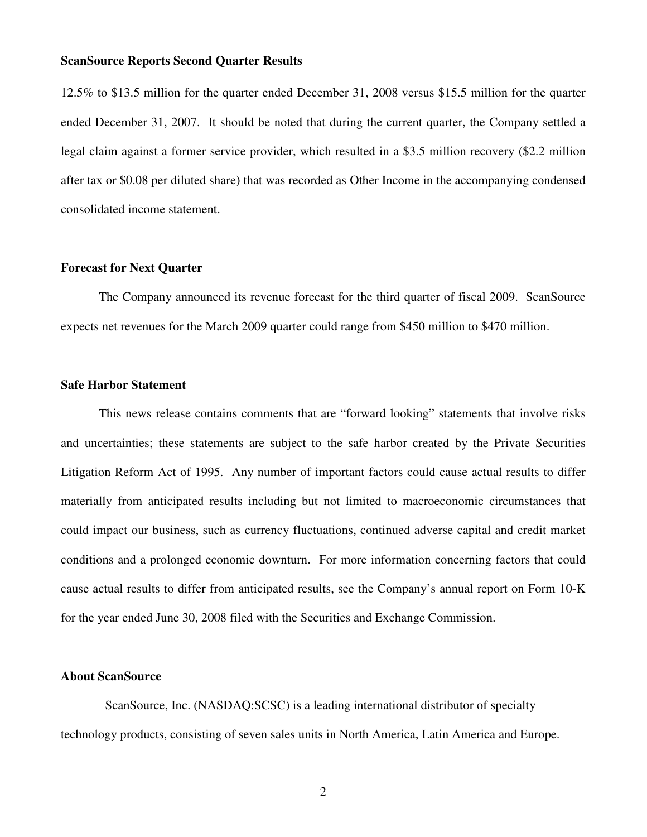#### **ScanSource Reports Second Quarter Results**

12.5% to \$13.5 million for the quarter ended December 31, 2008 versus \$15.5 million for the quarter ended December 31, 2007. It should be noted that during the current quarter, the Company settled a legal claim against a former service provider, which resulted in a \$3.5 million recovery (\$2.2 million after tax or \$0.08 per diluted share) that was recorded as Other Income in the accompanying condensed consolidated income statement.

#### **Forecast for Next Quarter**

 The Company announced its revenue forecast for the third quarter of fiscal 2009. ScanSource expects net revenues for the March 2009 quarter could range from \$450 million to \$470 million.

#### **Safe Harbor Statement**

 This news release contains comments that are "forward looking" statements that involve risks and uncertainties; these statements are subject to the safe harbor created by the Private Securities Litigation Reform Act of 1995. Any number of important factors could cause actual results to differ materially from anticipated results including but not limited to macroeconomic circumstances that could impact our business, such as currency fluctuations, continued adverse capital and credit market conditions and a prolonged economic downturn. For more information concerning factors that could cause actual results to differ from anticipated results, see the Company's annual report on Form 10-K for the year ended June 30, 2008 filed with the Securities and Exchange Commission.

### **About ScanSource**

 ScanSource, Inc. (NASDAQ:SCSC) is a leading international distributor of specialty technology products, consisting of seven sales units in North America, Latin America and Europe.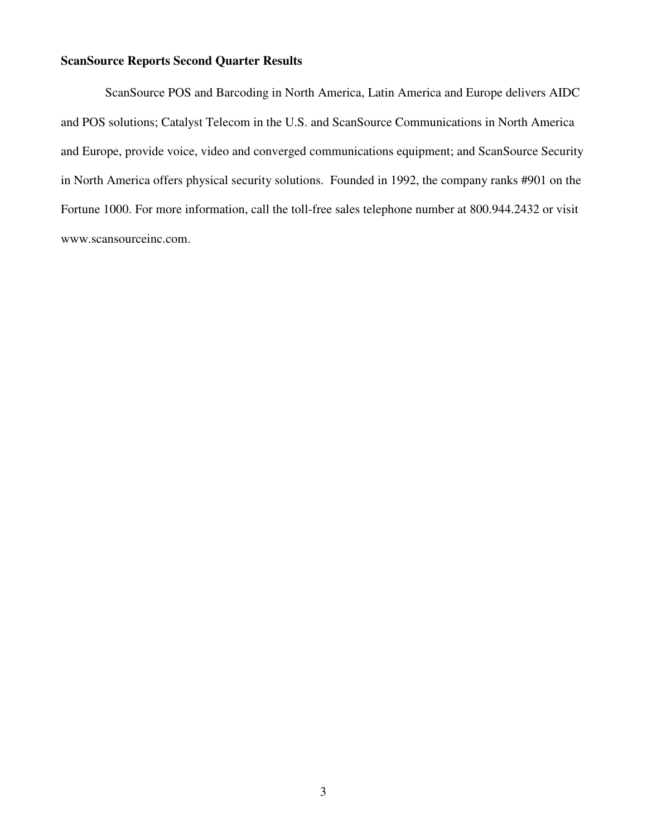## **ScanSource Reports Second Quarter Results**

 ScanSource POS and Barcoding in North America, Latin America and Europe delivers AIDC and POS solutions; Catalyst Telecom in the U.S. and ScanSource Communications in North America and Europe, provide voice, video and converged communications equipment; and ScanSource Security in North America offers physical security solutions. Founded in 1992, the company ranks #901 on the Fortune 1000. For more information, call the toll-free sales telephone number at 800.944.2432 or visit www.scansourceinc.com.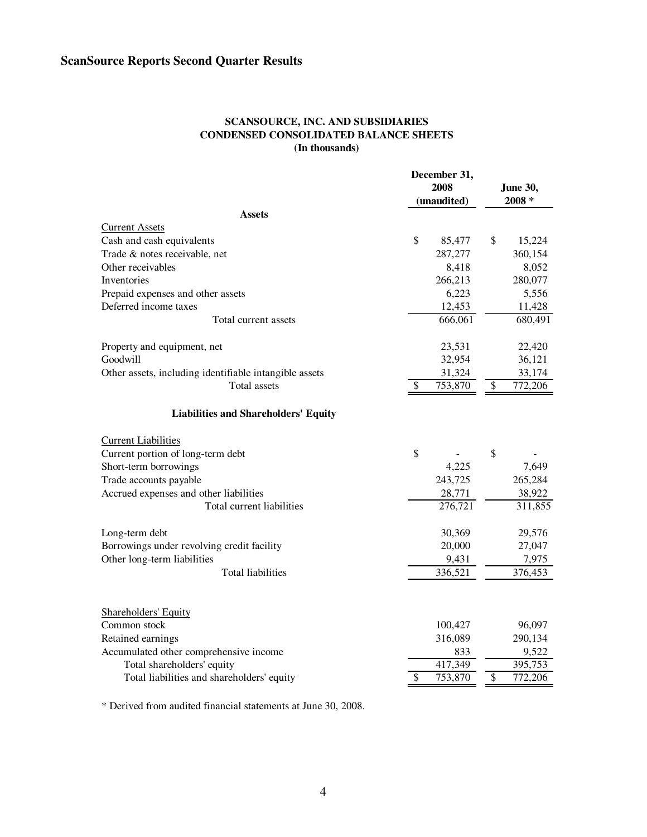#### **SCANSOURCE, INC. AND SUBSIDIARIES CONDENSED CONSOLIDATED BALANCE SHEETS (In thousands)**

|                                                        | December 31,<br>2008 |                 | <b>June 30,</b> |  |
|--------------------------------------------------------|----------------------|-----------------|-----------------|--|
|                                                        | (unaudited)          |                 | $2008 *$        |  |
| <b>Assets</b>                                          |                      |                 |                 |  |
| <b>Current Assets</b>                                  |                      |                 |                 |  |
| Cash and cash equivalents                              | \$<br>85,477         | \$              | 15,224          |  |
| Trade & notes receivable, net                          | 287,277              |                 | 360,154         |  |
| Other receivables                                      | 8,418                |                 | 8,052           |  |
| Inventories                                            | 266,213              |                 | 280,077         |  |
| Prepaid expenses and other assets                      | 6,223                |                 | 5,556           |  |
| Deferred income taxes                                  | 12,453               |                 | 11,428          |  |
| Total current assets                                   | 666,061              |                 | 680,491         |  |
| Property and equipment, net                            | 23,531               |                 | 22,420          |  |
| Goodwill                                               | 32,954               |                 | 36,121          |  |
| Other assets, including identifiable intangible assets | 31,324               |                 | 33,174          |  |
| Total assets                                           | \$<br>753,870        | \$              | 772,206         |  |
| <b>Liabilities and Shareholders' Equity</b>            |                      |                 |                 |  |
| <b>Current Liabilities</b>                             |                      |                 |                 |  |
| Current portion of long-term debt                      | \$                   | \$              |                 |  |
| Short-term borrowings                                  | 4,225                |                 | 7,649           |  |
| Trade accounts payable                                 | 243,725              |                 | 265,284         |  |
| Accrued expenses and other liabilities                 | 28,771               |                 | 38,922          |  |
| Total current liabilities                              | 276,721              |                 | 311,855         |  |
| Long-term debt                                         | 30,369               |                 | 29,576          |  |
| Borrowings under revolving credit facility             | 20,000               |                 | 27,047          |  |
| Other long-term liabilities                            | 9,431                |                 | 7,975           |  |
| <b>Total liabilities</b>                               | 336,521              |                 | 376,453         |  |
|                                                        |                      |                 |                 |  |
| <b>Shareholders' Equity</b><br>Common stock            | 100,427              |                 | 96,097          |  |
| Retained earnings                                      | 316,089              |                 | 290,134         |  |
| Accumulated other comprehensive income                 | 833                  |                 | 9,522           |  |
| Total shareholders' equity                             | 417,349              |                 | 395,753         |  |
| Total liabilities and shareholders' equity             | \$<br>753,870        | $\overline{\$}$ | 772,206         |  |

\* Derived from audited financial statements at June 30, 2008.